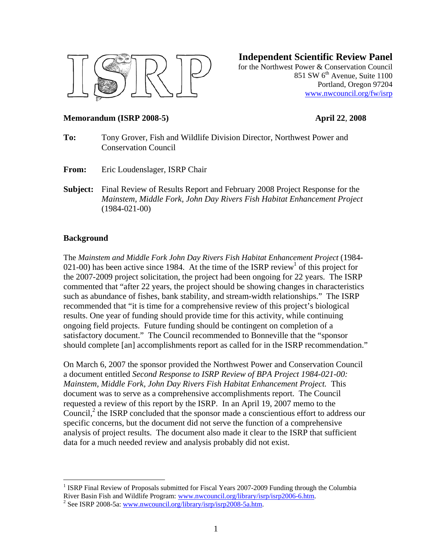

**Independent Scientific Review Panel**

for the Northwest Power & Conservation Council 851 SW  $6<sup>th</sup>$  Avenue, Suite 1100 Portland, Oregon 97204 www.nwcouncil.org/fw/isrp

### **Memorandum (ISRP 2008-5) April 22**, **2008**

- **To:** Tony Grover, Fish and Wildlife Division Director, Northwest Power and Conservation Council
- **From:** Eric Loudenslager, ISRP Chair
- **Subject:** Final Review of Results Report and February 2008 Project Response for the *Mainstem, Middle Fork, John Day Rivers Fish Habitat Enhancement Project*  (1984-021-00)

#### **Background**

 $\overline{a}$ 

The *Mainstem and Middle Fork John Day Rivers Fish Habitat Enhancement Project* (1984- 021-00) has been active since 1984. At the time of the ISRP review<sup>1</sup> of this project for the 2007-2009 project solicitation, the project had been ongoing for 22 years. The ISRP commented that "after 22 years, the project should be showing changes in characteristics such as abundance of fishes, bank stability, and stream-width relationships." The ISRP recommended that "it is time for a comprehensive review of this project's biological results. One year of funding should provide time for this activity, while continuing ongoing field projects. Future funding should be contingent on completion of a satisfactory document." The Council recommended to Bonneville that the "sponsor should complete [an] accomplishments report as called for in the ISRP recommendation."

On March 6, 2007 the sponsor provided the Northwest Power and Conservation Council a document entitled *Second Response to ISRP Review of BPA Project 1984-021-00: Mainstem, Middle Fork, John Day Rivers Fish Habitat Enhancement Project.* This document was to serve as a comprehensive accomplishments report. The Council requested a review of this report by the ISRP. In an April 19, 2007 memo to the Council, $^2$  the ISRP concluded that the sponsor made a conscientious effort to address our specific concerns, but the document did not serve the function of a comprehensive analysis of project results. The document also made it clear to the ISRP that sufficient data for a much needed review and analysis probably did not exist.

<sup>&</sup>lt;sup>1</sup> ISRP Final Review of Proposals submitted for Fiscal Years 2007-2009 Funding through the Columbia River Basin Fish and Wildlife Program: www.nwcouncil.org/library/isrp/isrp2006-6.htm.

 $\frac{3}{2}$  See ISRP 2008-5a: www.nwcouncil.org/library/isrp/isrp2008-5a.htm.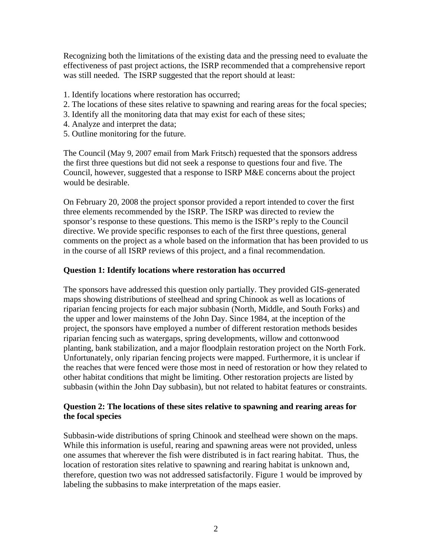Recognizing both the limitations of the existing data and the pressing need to evaluate the effectiveness of past project actions, the ISRP recommended that a comprehensive report was still needed. The ISRP suggested that the report should at least:

- 1. Identify locations where restoration has occurred;
- 2. The locations of these sites relative to spawning and rearing areas for the focal species;
- 3. Identify all the monitoring data that may exist for each of these sites;
- 4. Analyze and interpret the data;
- 5. Outline monitoring for the future.

The Council (May 9, 2007 email from Mark Fritsch) requested that the sponsors address the first three questions but did not seek a response to questions four and five. The Council, however, suggested that a response to ISRP M&E concerns about the project would be desirable.

On February 20, 2008 the project sponsor provided a report intended to cover the first three elements recommended by the ISRP. The ISRP was directed to review the sponsor's response to these questions. This memo is the ISRP's reply to the Council directive. We provide specific responses to each of the first three questions, general comments on the project as a whole based on the information that has been provided to us in the course of all ISRP reviews of this project, and a final recommendation.

# **Question 1: Identify locations where restoration has occurred**

The sponsors have addressed this question only partially. They provided GIS-generated maps showing distributions of steelhead and spring Chinook as well as locations of riparian fencing projects for each major subbasin (North, Middle, and South Forks) and the upper and lower mainstems of the John Day. Since 1984, at the inception of the project, the sponsors have employed a number of different restoration methods besides riparian fencing such as watergaps, spring developments, willow and cottonwood planting, bank stabilization, and a major floodplain restoration project on the North Fork. Unfortunately, only riparian fencing projects were mapped. Furthermore, it is unclear if the reaches that were fenced were those most in need of restoration or how they related to other habitat conditions that might be limiting. Other restoration projects are listed by subbasin (within the John Day subbasin), but not related to habitat features or constraints.

# **Question 2: The locations of these sites relative to spawning and rearing areas for the focal species**

Subbasin-wide distributions of spring Chinook and steelhead were shown on the maps. While this information is useful, rearing and spawning areas were not provided, unless one assumes that wherever the fish were distributed is in fact rearing habitat. Thus, the location of restoration sites relative to spawning and rearing habitat is unknown and, therefore, question two was not addressed satisfactorily. Figure 1 would be improved by labeling the subbasins to make interpretation of the maps easier.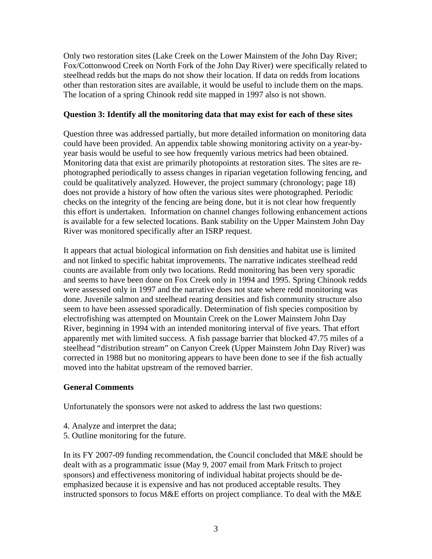Only two restoration sites (Lake Creek on the Lower Mainstem of the John Day River; Fox/Cottonwood Creek on North Fork of the John Day River) were specifically related to steelhead redds but the maps do not show their location. If data on redds from locations other than restoration sites are available, it would be useful to include them on the maps. The location of a spring Chinook redd site mapped in 1997 also is not shown.

# **Question 3: Identify all the monitoring data that may exist for each of these sites**

Question three was addressed partially, but more detailed information on monitoring data could have been provided. An appendix table showing monitoring activity on a year-byyear basis would be useful to see how frequently various metrics had been obtained. Monitoring data that exist are primarily photopoints at restoration sites. The sites are rephotographed periodically to assess changes in riparian vegetation following fencing, and could be qualitatively analyzed. However, the project summary (chronology; page 18) does not provide a history of how often the various sites were photographed. Periodic checks on the integrity of the fencing are being done, but it is not clear how frequently this effort is undertaken. Information on channel changes following enhancement actions is available for a few selected locations. Bank stability on the Upper Mainstem John Day River was monitored specifically after an ISRP request.

It appears that actual biological information on fish densities and habitat use is limited and not linked to specific habitat improvements. The narrative indicates steelhead redd counts are available from only two locations. Redd monitoring has been very sporadic and seems to have been done on Fox Creek only in 1994 and 1995. Spring Chinook redds were assessed only in 1997 and the narrative does not state where redd monitoring was done. Juvenile salmon and steelhead rearing densities and fish community structure also seem to have been assessed sporadically. Determination of fish species composition by electrofishing was attempted on Mountain Creek on the Lower Mainstem John Day River, beginning in 1994 with an intended monitoring interval of five years. That effort apparently met with limited success. A fish passage barrier that blocked 47.75 miles of a steelhead "distribution stream" on Canyon Creek (Upper Mainstem John Day River) was corrected in 1988 but no monitoring appears to have been done to see if the fish actually moved into the habitat upstream of the removed barrier.

# **General Comments**

Unfortunately the sponsors were not asked to address the last two questions:

- 4. Analyze and interpret the data;
- 5. Outline monitoring for the future.

In its FY 2007-09 funding recommendation, the Council concluded that M&E should be dealt with as a programmatic issue (May 9, 2007 email from Mark Fritsch to project sponsors) and effectiveness monitoring of individual habitat projects should be deemphasized because it is expensive and has not produced acceptable results. They instructed sponsors to focus M&E efforts on project compliance. To deal with the M&E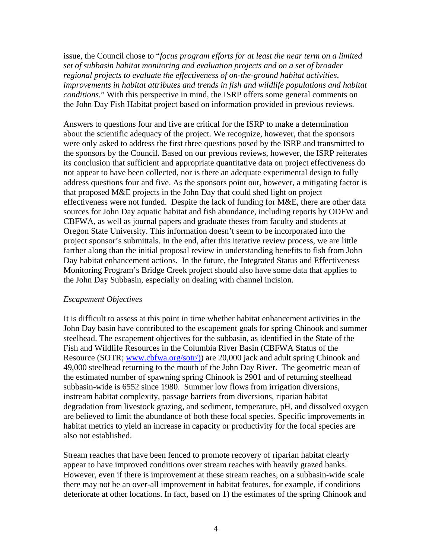issue, the Council chose to "*focus program efforts for at least the near term on a limited set of subbasin habitat monitoring and evaluation projects and on a set of broader regional projects to evaluate the effectiveness of on-the-ground habitat activities, improvements in habitat attributes and trends in fish and wildlife populations and habitat conditions.*" With this perspective in mind, the ISRP offers some general comments on the John Day Fish Habitat project based on information provided in previous reviews.

Answers to questions four and five are critical for the ISRP to make a determination about the scientific adequacy of the project. We recognize, however, that the sponsors were only asked to address the first three questions posed by the ISRP and transmitted to the sponsors by the Council. Based on our previous reviews, however, the ISRP reiterates its conclusion that sufficient and appropriate quantitative data on project effectiveness do not appear to have been collected, nor is there an adequate experimental design to fully address questions four and five. As the sponsors point out, however, a mitigating factor is that proposed M&E projects in the John Day that could shed light on project effectiveness were not funded. Despite the lack of funding for M&E, there are other data sources for John Day aquatic habitat and fish abundance, including reports by ODFW and CBFWA, as well as journal papers and graduate theses from faculty and students at Oregon State University. This information doesn't seem to be incorporated into the project sponsor's submittals. In the end, after this iterative review process, we are little farther along than the initial proposal review in understanding benefits to fish from John Day habitat enhancement actions. In the future, the Integrated Status and Effectiveness Monitoring Program's Bridge Creek project should also have some data that applies to the John Day Subbasin, especially on dealing with channel incision.

#### *Escapement Objectives*

It is difficult to assess at this point in time whether habitat enhancement activities in the John Day basin have contributed to the escapement goals for spring Chinook and summer steelhead. The escapement objectives for the subbasin, as identified in the State of the Fish and Wildlife Resources in the Columbia River Basin (CBFWA Status of the Resource (SOTR; www.cbfwa.org/sotr/)) are 20,000 jack and adult spring Chinook and 49,000 steelhead returning to the mouth of the John Day River. The geometric mean of the estimated number of spawning spring Chinook is 2901 and of returning steelhead subbasin-wide is 6552 since 1980. Summer low flows from irrigation diversions, instream habitat complexity, passage barriers from diversions, riparian habitat degradation from livestock grazing, and sediment, temperature, pH, and dissolved oxygen are believed to limit the abundance of both these focal species. Specific improvements in habitat metrics to yield an increase in capacity or productivity for the focal species are also not established.

Stream reaches that have been fenced to promote recovery of riparian habitat clearly appear to have improved conditions over stream reaches with heavily grazed banks. However, even if there is improvement at these stream reaches, on a subbasin-wide scale there may not be an over-all improvement in habitat features, for example, if conditions deteriorate at other locations. In fact, based on 1) the estimates of the spring Chinook and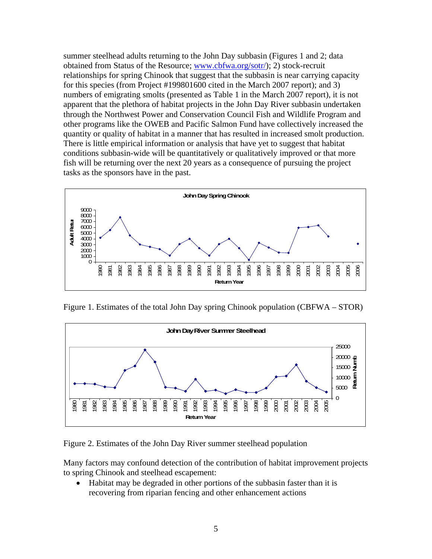summer steelhead adults returning to the John Day subbasin (Figures 1 and 2; data obtained from Status of the Resource; www.cbfwa.org/sotr/); 2) stock-recruit relationships for spring Chinook that suggest that the subbasin is near carrying capacity for this species (from Project #199801600 cited in the March 2007 report); and 3) numbers of emigrating smolts (presented as Table 1 in the March 2007 report), it is not apparent that the plethora of habitat projects in the John Day River subbasin undertaken through the Northwest Power and Conservation Council Fish and Wildlife Program and other programs like the OWEB and Pacific Salmon Fund have collectively increased the quantity or quality of habitat in a manner that has resulted in increased smolt production. There is little empirical information or analysis that have yet to suggest that habitat conditions subbasin-wide will be quantitatively or qualitatively improved or that more fish will be returning over the next 20 years as a consequence of pursuing the project tasks as the sponsors have in the past.



Figure 1. Estimates of the total John Day spring Chinook population (CBFWA – STOR)



Figure 2. Estimates of the John Day River summer steelhead population

Many factors may confound detection of the contribution of habitat improvement projects to spring Chinook and steelhead escapement:

• Habitat may be degraded in other portions of the subbasin faster than it is recovering from riparian fencing and other enhancement actions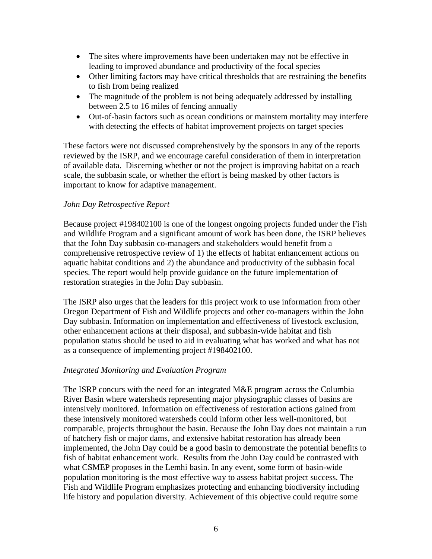- The sites where improvements have been undertaken may not be effective in leading to improved abundance and productivity of the focal species
- Other limiting factors may have critical thresholds that are restraining the benefits to fish from being realized
- The magnitude of the problem is not being adequately addressed by installing between 2.5 to 16 miles of fencing annually
- Out-of-basin factors such as ocean conditions or mainstem mortality may interfere with detecting the effects of habitat improvement projects on target species

These factors were not discussed comprehensively by the sponsors in any of the reports reviewed by the ISRP, and we encourage careful consideration of them in interpretation of available data. Discerning whether or not the project is improving habitat on a reach scale, the subbasin scale, or whether the effort is being masked by other factors is important to know for adaptive management.

# *John Day Retrospective Report*

Because project #198402100 is one of the longest ongoing projects funded under the Fish and Wildlife Program and a significant amount of work has been done, the ISRP believes that the John Day subbasin co-managers and stakeholders would benefit from a comprehensive retrospective review of 1) the effects of habitat enhancement actions on aquatic habitat conditions and 2) the abundance and productivity of the subbasin focal species. The report would help provide guidance on the future implementation of restoration strategies in the John Day subbasin.

The ISRP also urges that the leaders for this project work to use information from other Oregon Department of Fish and Wildlife projects and other co-managers within the John Day subbasin. Information on implementation and effectiveness of livestock exclusion, other enhancement actions at their disposal, and subbasin-wide habitat and fish population status should be used to aid in evaluating what has worked and what has not as a consequence of implementing project #198402100.

# *Integrated Monitoring and Evaluation Program*

The ISRP concurs with the need for an integrated M&E program across the Columbia River Basin where watersheds representing major physiographic classes of basins are intensively monitored. Information on effectiveness of restoration actions gained from these intensively monitored watersheds could inform other less well-monitored, but comparable, projects throughout the basin. Because the John Day does not maintain a run of hatchery fish or major dams, and extensive habitat restoration has already been implemented, the John Day could be a good basin to demonstrate the potential benefits to fish of habitat enhancement work. Results from the John Day could be contrasted with what CSMEP proposes in the Lemhi basin. In any event, some form of basin-wide population monitoring is the most effective way to assess habitat project success. The Fish and Wildlife Program emphasizes protecting and enhancing biodiversity including life history and population diversity. Achievement of this objective could require some